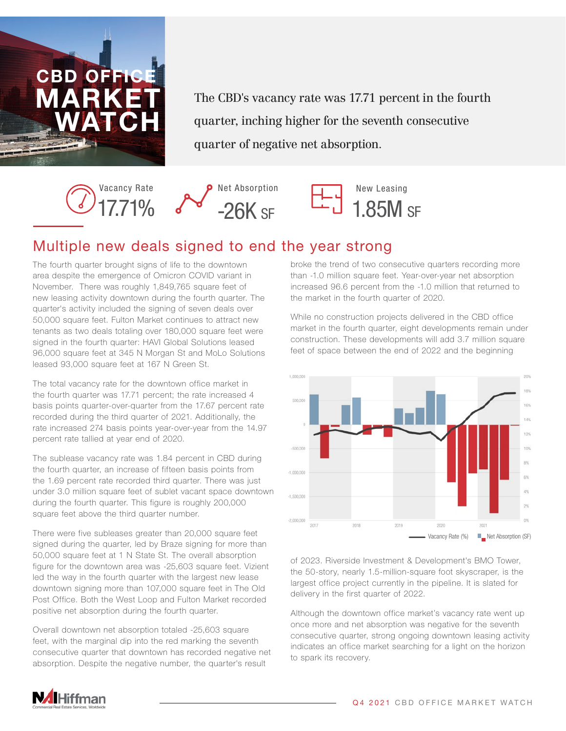

The CBD's vacancy rate was 17.71 percent in the fourth quarter, inching higher for the seventh consecutive quarter of negative net absorption.







## Multiple new deals signed to end the year strong

The fourth quarter brought signs of life to the downtown area despite the emergence of Omicron COVID variant in November. There was roughly 1,849,765 square feet of new leasing activity downtown during the fourth quarter. The quarter's activity included the signing of seven deals over 50,000 square feet. Fulton Market continues to attract new tenants as two deals totaling over 180,000 square feet were signed in the fourth quarter: HAVI Global Solutions leased 96,000 square feet at 345 N Morgan St and MoLo Solutions leased 93,000 square feet at 167 N Green St.

The total vacancy rate for the downtown office market in the fourth quarter was 17.71 percent; the rate increased 4 basis points quarter-over-quarter from the 17.67 percent rate recorded during the third quarter of 2021. Additionally, the rate increased 274 basis points year-over-year from the 14.97 percent rate tallied at year end of 2020.

The sublease vacancy rate was 1.84 percent in CBD during the fourth quarter, an increase of fifteen basis points from the 1.69 percent rate recorded third quarter. There was just under 3.0 million square feet of sublet vacant space downtown during the fourth quarter. This figure is roughly 200,000 square feet above the third quarter number.

There were five subleases greater than 20,000 square feet signed during the quarter, led by Braze signing for more than 50,000 square feet at 1 N State St. The overall absorption figure for the downtown area was -25,603 square feet. Vizient led the way in the fourth quarter with the largest new lease downtown signing more than 107,000 square feet in The Old Post Office. Both the West Loop and Fulton Market recorded positive net absorption during the fourth quarter.

Overall downtown net absorption totaled -25,603 square feet, with the marginal dip into the red marking the seventh consecutive quarter that downtown has recorded negative net absorption. Despite the negative number, the quarter's result

broke the trend of two consecutive quarters recording more than -1.0 million square feet. Year-over-year net absorption increased 96.6 percent from the -1.0 million that returned to the market in the fourth quarter of 2020.

While no construction projects delivered in the CBD office market in the fourth quarter, eight developments remain under construction. These developments will add 3.7 million square feet of space between the end of 2022 and the beginning



of 2023. Riverside Investment & Development's BMO Tower, the 50-story, nearly 1.5-million-square foot skyscraper, is the largest office project currently in the pipeline. It is slated for delivery in the first quarter of 2022.

Although the downtown office market's vacancy rate went up once more and net absorption was negative for the seventh consecutive quarter, strong ongoing downtown leasing activity indicates an office market searching for a light on the horizon to spark its recovery.